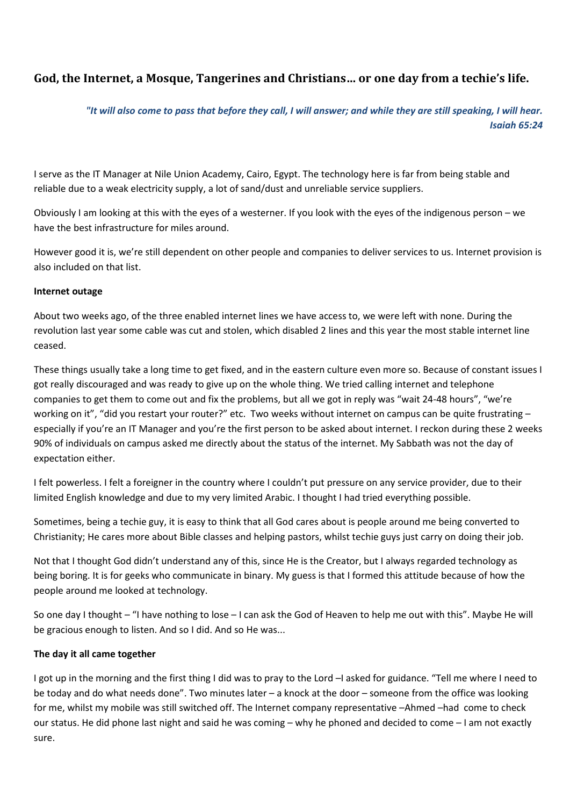# **God, the Internet, a Mosque, Tangerines and Christians… or one day from a techie's life.**

## *"It will also come to pass that before they call, I will answer; and while they are still speaking, I will hear. Isaiah 65:24*

I serve as the IT Manager at Nile Union Academy, Cairo, Egypt. The technology here is far from being stable and reliable due to a weak electricity supply, a lot of sand/dust and unreliable service suppliers.

Obviously I am looking at this with the eyes of a westerner. If you look with the eyes of the indigenous person – we have the best infrastructure for miles around.

However good it is, we're still dependent on other people and companies to deliver services to us. Internet provision is also included on that list.

#### **Internet outage**

About two weeks ago, of the three enabled internet lines we have access to, we were left with none. During the revolution last year some cable was cut and stolen, which disabled 2 lines and this year the most stable internet line ceased.

These things usually take a long time to get fixed, and in the eastern culture even more so. Because of constant issues I got really discouraged and was ready to give up on the whole thing. We tried calling internet and telephone companies to get them to come out and fix the problems, but all we got in reply was "wait 24-48 hours", "we're working on it", "did you restart your router?" etc. Two weeks without internet on campus can be quite frustrating especially if you're an IT Manager and you're the first person to be asked about internet. I reckon during these 2 weeks 90% of individuals on campus asked me directly about the status of the internet. My Sabbath was not the day of expectation either.

I felt powerless. I felt a foreigner in the country where I couldn't put pressure on any service provider, due to their limited English knowledge and due to my very limited Arabic. I thought I had tried everything possible.

Sometimes, being a techie guy, it is easy to think that all God cares about is people around me being converted to Christianity; He cares more about Bible classes and helping pastors, whilst techie guys just carry on doing their job.

Not that I thought God didn't understand any of this, since He is the Creator, but I always regarded technology as being boring. It is for geeks who communicate in binary. My guess is that I formed this attitude because of how the people around me looked at technology.

So one day I thought – "I have nothing to lose – I can ask the God of Heaven to help me out with this". Maybe He will be gracious enough to listen. And so I did. And so He was...

### **The day it all came together**

I got up in the morning and the first thing I did was to pray to the Lord –I asked for guidance. "Tell me where I need to be today and do what needs done". Two minutes later – a knock at the door – someone from the office was looking for me, whilst my mobile was still switched off. The Internet company representative –Ahmed –had come to check our status. He did phone last night and said he was coming – why he phoned and decided to come – I am not exactly sure.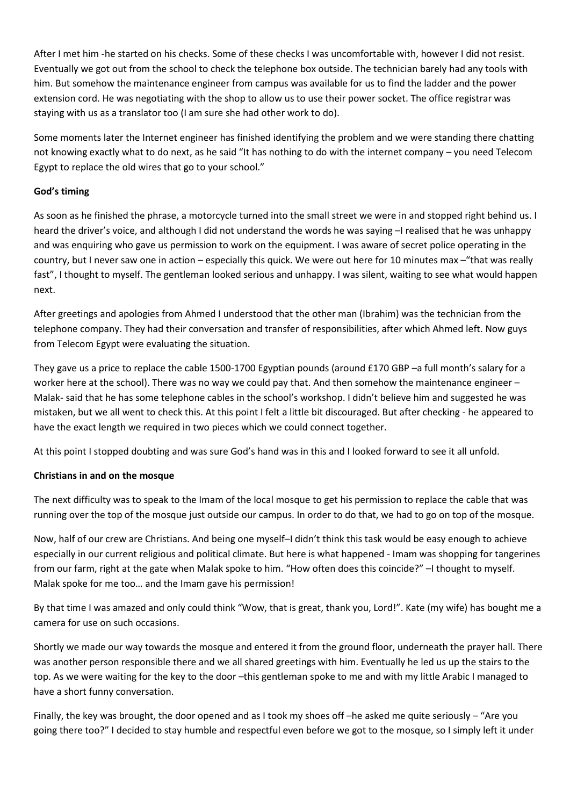After I met him -he started on his checks. Some of these checks I was uncomfortable with, however I did not resist. Eventually we got out from the school to check the telephone box outside. The technician barely had any tools with him. But somehow the maintenance engineer from campus was available for us to find the ladder and the power extension cord. He was negotiating with the shop to allow us to use their power socket. The office registrar was staying with us as a translator too (I am sure she had other work to do).

Some moments later the Internet engineer has finished identifying the problem and we were standing there chatting not knowing exactly what to do next, as he said "It has nothing to do with the internet company – you need Telecom Egypt to replace the old wires that go to your school."

#### **God's timing**

As soon as he finished the phrase, a motorcycle turned into the small street we were in and stopped right behind us. I heard the driver's voice, and although I did not understand the words he was saying  $-1$  realised that he was unhappy and was enquiring who gave us permission to work on the equipment. I was aware of secret police operating in the country, but I never saw one in action – especially this quick. We were out here for 10 minutes max –"that was really fast", I thought to myself. The gentleman looked serious and unhappy. I was silent, waiting to see what would happen next.

After greetings and apologies from Ahmed I understood that the other man (Ibrahim) was the technician from the telephone company. They had their conversation and transfer of responsibilities, after which Ahmed left. Now guys from Telecom Egypt were evaluating the situation.

They gave us a price to replace the cable 1500-1700 Egyptian pounds (around £170 GBP –a full month's salary for a worker here at the school). There was no way we could pay that. And then somehow the maintenance engineer – Malak- said that he has some telephone cables in the school's workshop. I didn't believe him and suggested he was mistaken, but we all went to check this. At this point I felt a little bit discouraged. But after checking - he appeared to have the exact length we required in two pieces which we could connect together.

At this point I stopped doubting and was sure God's hand was in this and I looked forward to see it all unfold.

### **Christians in and on the mosque**

The next difficulty was to speak to the Imam of the local mosque to get his permission to replace the cable that was running over the top of the mosque just outside our campus. In order to do that, we had to go on top of the mosque.

Now, half of our crew are Christians. And being one myself–I didn't think this task would be easy enough to achieve especially in our current religious and political climate. But here is what happened - Imam was shopping for tangerines from our farm, right at the gate when Malak spoke to him. "How often does this coincide?" –I thought to myself. Malak spoke for me too… and the Imam gave his permission!

By that time I was amazed and only could think "Wow, that is great, thank you, Lord!". Kate (my wife) has bought me a camera for use on such occasions.

Shortly we made our way towards the mosque and entered it from the ground floor, underneath the prayer hall. There was another person responsible there and we all shared greetings with him. Eventually he led us up the stairs to the top. As we were waiting for the key to the door –this gentleman spoke to me and with my little Arabic I managed to have a short funny conversation.

Finally, the key was brought, the door opened and as I took my shoes off –he asked me quite seriously – "Are you going there too?" I decided to stay humble and respectful even before we got to the mosque, so I simply left it under